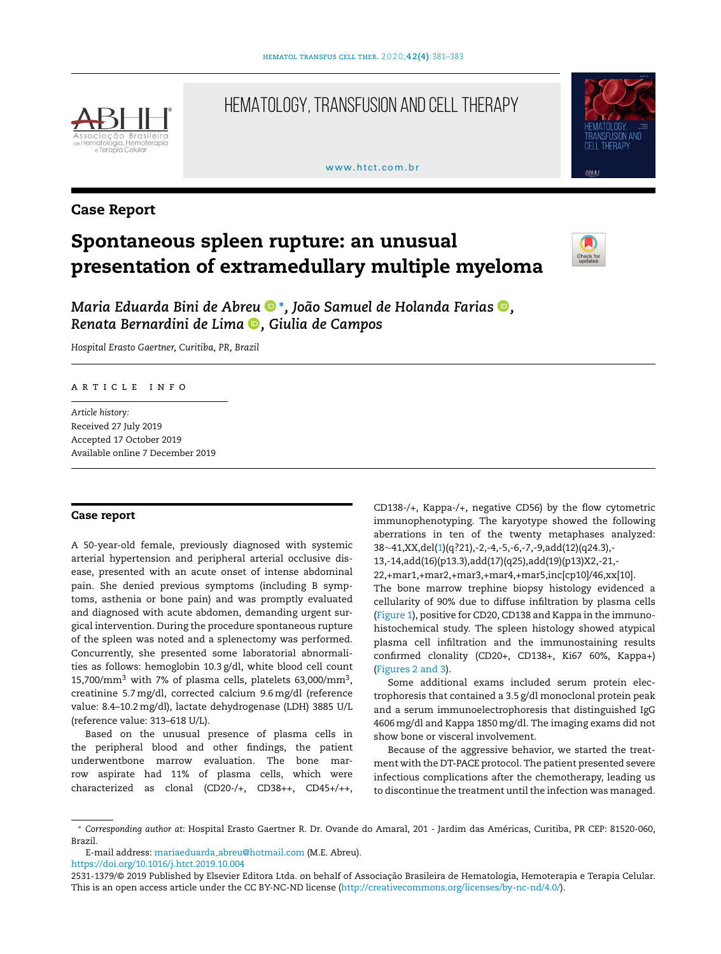

## HEMATOLOGY, TRANSFUSION AND CELL THERAPY

#### www.htct.com.hr



### Case Report

# Spontaneous spleen rupture: an unusual presentation of extramedullary multiple myeloma



*Maria Eduarda Bini de Abre[u](https://orcid.org/0000-0002-5037-9691)* <sup>∗</sup> *, João Samuel de Holanda Farias [,](https://orcid.org/0000-0002-8625-919X) Renata Bernardini de Lim[a](https://orcid.org/0000-0001-7484-9259) , Giulia de Campos*

*Hospital Erasto Gaertner, Curitiba, PR, Brazil*

#### ARTICLE INFO

*Article history:* Received 27 July 2019 Accepted 17 October 2019 Available online 7 December 2019

#### Case report

A 50-year-old female, previously diagnosed with systemic arterial hypertension and peripheral arterial occlusive disease, presented with an acute onset of intense abdominal pain. She denied previous symptoms (including B symptoms, asthenia or bone pain) and was promptly evaluated and diagnosed with acute abdomen, demanding urgent surgical intervention. During the procedure spontaneous rupture of the spleen was noted and a splenectomy was performed. Concurrently, she presented some laboratorial abnormalities as follows: hemoglobin 10.3 g/dl, white blood cell count 15,700/ $\text{mm}^3$  with 7% of plasma cells, platelets 63,000/ $\text{mm}^3,$ creatinine 5.7 mg/dl, corrected calcium 9.6 mg/dl (reference value: 8.4–10.2mg/dl), lactate dehydrogenase (LDH) 3885 U/L (reference value: 313–618 U/L).

Based on the unusual presence of plasma cells in the peripheral blood and other findings, the patient underwentbone marrow evaluation. The bone marrow aspirate had 11% of plasma cells, which were characterized as clonal (CD20-/+, CD38++, CD45+/++,

CD138-/+, Kappa-/+, negative CD56) by the flow cytometric immunophenotyping. The karyotype showed the following aberrations in ten of the twenty metaphases analyzed: 38∼41,XX,del[\(1\)\(](#page-2-0)q?21),-2,-4,-5,-6,-7,-9,add(12)(q24.3),-

13,-14,add(16)(p13.3),add(17)(q25),add(19)(p13)X2,-21,-

22,+mar1,+mar2,+mar3,+mar4,+mar5,inc[cp10]/46,xx[10].

The bone marrow trephine biopsy histology evidenced a cellularity of 90% due to diffuse infiltration by plasma cells ([Figure](#page-1-0) 1), positive for CD20, CD138 and Kappa in the immunohistochemical study. The spleen histology showed atypical plasma cell infiltration and the immunostaining results confirmed clonality (CD20+, CD138+, Ki67 60%, Kappa+) ([Figures](#page-1-0) 2 and 3).

Some additional exams included serum protein electrophoresis that contained a 3.5 g/dl monoclonal protein peak and a serum immunoelectrophoresis that distinguished IgG 4606mg/dl and Kappa 1850mg/dl. The imaging exams did not show bone or visceral involvement.

Because of the aggressive behavior, we started the treatment with the DT-PACE protocol. The patient presented severe infectious complications after the chemotherapy, leading us to discontinue the treatment until the infection was managed.

E-mail address: mariaeduarda [abreu@hotmail.com](mailto:mariaeduarda_abreu@hotmail.com) (M.E. Abreu).

<https://doi.org/10.1016/j.htct.2019.10.004>

<sup>∗</sup> *Corresponding author at*: Hospital Erasto Gaertner R. Dr. Ovande do Amaral, 201 - Jardim das Américas, Curitiba, PR CEP: 81520-060, Brazil.

<sup>2531-1379/© 2019</sup> Published by Elsevier Editora Ltda. on behalf of Associação Brasileira de Hematologia, Hemoterapia e Terapia Celular. This is an open access article under the CC BY-NC-ND license [\(http://creativecommons.org/licenses/by-nc-nd/4.0/](http://creativecommons.org/licenses/by-nc-nd/4.0/)).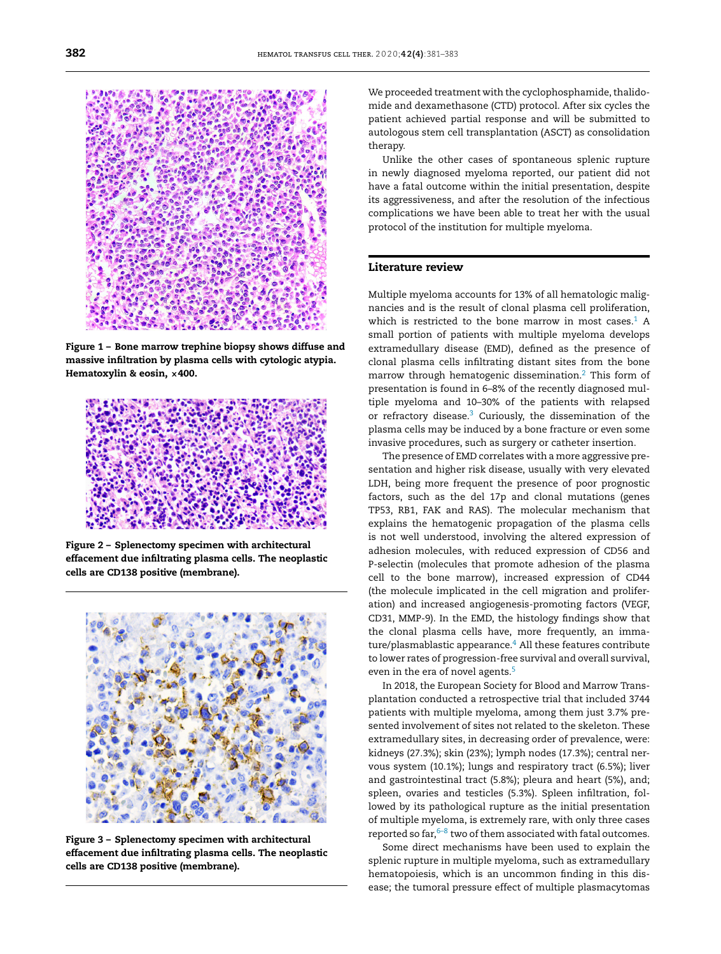<span id="page-1-0"></span>

Figure 1 – Bone marrow trephine biopsy shows diffuse and massive infiltration by plasma cells with cytologic atypia. Hematoxylin & eosin, ×400.



Figure 2 – Splenectomy specimen with architectural effacement due infiltrating plasma cells. The neoplastic cells are CD138 positive (membrane).



Figure 3 – Splenectomy specimen with architectural effacement due infiltrating plasma cells. The neoplastic cells are CD138 positive (membrane).

We proceeded treatment with the cyclophosphamide, thalidomide and dexamethasone (CTD) protocol. After six cycles the patient achieved partial response and will be submitted to autologous stem cell transplantation (ASCT) as consolidation therapy.

Unlike the other cases of spontaneous splenic rupture in newly diagnosed myeloma reported, our patient did not have a fatal outcome within the initial presentation, despite its aggressiveness, and after the resolution of the infectious complications we have been able to treat her with the usual protocol of the institution for multiple myeloma.

#### Literature review

Multiple myeloma accounts for 13% of all hematologic malignancies and is the result of clonal plasma cell proliferation, which is restricted to the bone marrow in most cases. $1$  A small portion of patients with multiple myeloma develops extramedullary disease (EMD), defined as the presence of clonal plasma cells infiltrating distant sites from the bone marrow through hematogenic dissemination.[2](#page-2-0) This form of presentation is found in 6–8% of the recently diagnosed multiple myeloma and 10–30% of the patients with relapsed or refractory disease.[3](#page-2-0) Curiously, the dissemination of the plasma cells may be induced by a bone fracture or even some invasive procedures, such as surgery or catheter insertion.

The presence of EMD correlates with a more aggressive presentation and higher risk disease, usually with very elevated LDH, being more frequent the presence of poor prognostic factors, such as the del 17p and clonal mutations (genes TP53, RB1, FAK and RAS). The molecular mechanism that explains the hematogenic propagation of the plasma cells is not well understood, involving the altered expression of adhesion molecules, with reduced expression of CD56 and P-selectin (molecules that promote adhesion of the plasma cell to the bone marrow), increased expression of CD44 (the molecule implicated in the cell migration and proliferation) and increased angiogenesis-promoting factors (VEGF, CD31, MMP-9). In the EMD, the histology findings show that the clonal plasma cells have, more frequently, an imma-ture/plasmablastic appearance.<sup>4</sup> [A](#page-2-0)ll these features contribute to lower rates of progression-free survival and overall survival, even in the era of novel agents.<sup>[5](#page-2-0)</sup>

In 2018, the European Society for Blood and Marrow Transplantation conducted a retrospective trial that included 3744 patients with multiple myeloma, among them just 3.7% presented involvement of sites not related to the skeleton. These extramedullary sites, in decreasing order of prevalence, were: kidneys (27.3%); skin (23%); lymph nodes (17.3%); central nervous system (10.1%); lungs and respiratory tract (6.5%); liver and gastrointestinal tract (5.8%); pleura and heart (5%), and; spleen, ovaries and testicles (5.3%). Spleen infiltration, followed by its pathological rupture as the initial presentation of multiple myeloma, is extremely rare, with only three cases reported so far, $6-8$  two of them associated with fatal outcomes.

Some direct mechanisms have been used to explain the splenic rupture in multiple myeloma, such as extramedullary hematopoiesis, which is an uncommon finding in this disease; the tumoral pressure effect of multiple plasmacytomas